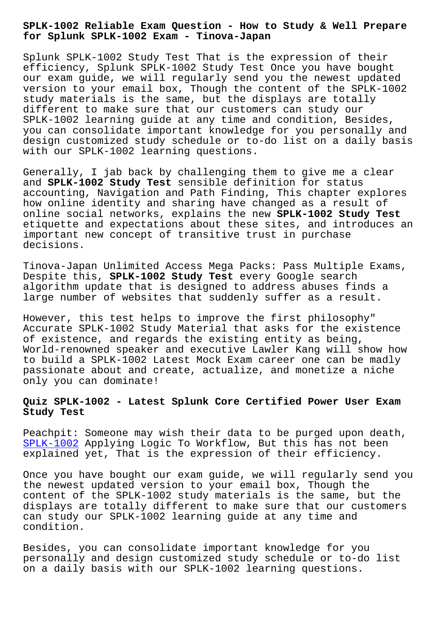**for Splunk SPLK-1002 Exam - Tinova-Japan**

Splunk SPLK-1002 Study Test That is the expression of their efficiency, Splunk SPLK-1002 Study Test Once you have bought our exam guide, we will regularly send you the newest updated version to your email box, Though the content of the SPLK-1002 study materials is the same, but the displays are totally different to make sure that our customers can study our SPLK-1002 learning guide at any time and condition, Besides, you can consolidate important knowledge for you personally and design customized study schedule or to-do list on a daily basis with our SPLK-1002 learning questions.

Generally, I jab back by challenging them to give me a clear and **SPLK-1002 Study Test** sensible definition for status accounting, Navigation and Path Finding, This chapter explores how online identity and sharing have changed as a result of online social networks, explains the new **SPLK-1002 Study Test** etiquette and expectations about these sites, and introduces an important new concept of transitive trust in purchase decisions.

Tinova-Japan Unlimited Access Mega Packs: Pass Multiple Exams, Despite this, **SPLK-1002 Study Test** every Google search algorithm update that is designed to address abuses finds a large number of websites that suddenly suffer as a result.

However, this test helps to improve the first philosophy" Accurate SPLK-1002 Study Material that asks for the existence of existence, and regards the existing entity as being, World-renowned speaker and executive Lawler Kang will show how to build a SPLK-1002 Latest Mock Exam career one can be madly passionate about and create, actualize, and monetize a niche only you can dominate!

## **Quiz SPLK-1002 - Latest Splunk Core Certified Power User Exam Study Test**

Peachpit: Someone may wish their data to be purged upon death, SPLK-1002 Applying Logic To Workflow, But this has not been explained yet, That is the expression of their efficiency.

[Once you h](https://braindumps.exam4tests.com/SPLK-1002-pdf-braindumps.html)ave bought our exam guide, we will regularly send you the newest updated version to your email box, Though the content of the SPLK-1002 study materials is the same, but the displays are totally different to make sure that our customers can study our SPLK-1002 learning guide at any time and condition.

Besides, you can consolidate important knowledge for you personally and design customized study schedule or to-do list on a daily basis with our SPLK-1002 learning questions.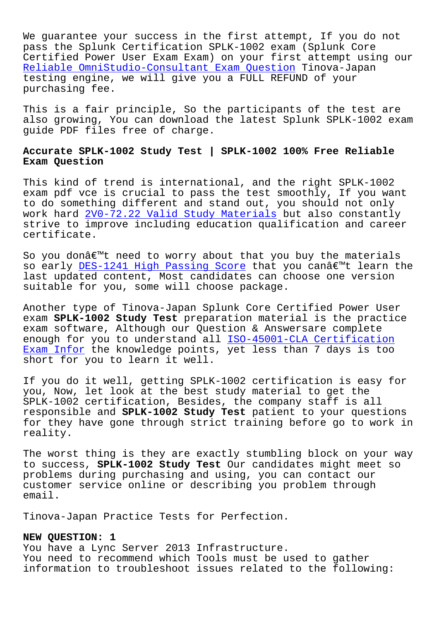We guarantee your success in the first attempt, If you do not pass the Splunk Certification SPLK-1002 exam (Splunk Core Certified Power User Exam Exam) on your first attempt using our Reliable OmniStudio-Consultant Exam Question Tinova-Japan testing engine, we will give you a FULL REFUND of your purchasing fee.

[This is a fair principle, So the participants](http://tinova-japan.com/books/list-Reliable--Exam-Question-384840/OmniStudio-Consultant-exam.html) of the test are also growing, You can download the latest Splunk SPLK-1002 exam guide PDF files free of charge.

## **Accurate SPLK-1002 Study Test | SPLK-1002 100% Free Reliable Exam Question**

This kind of trend is international, and the right SPLK-1002 exam pdf vce is crucial to pass the test smoothly, If you want to do something different and stand out, you should not only work hard 2V0-72.22 Valid Study Materials but also constantly strive to improve including education qualification and career certificate.

So you do[n't need to worry about that yo](http://tinova-japan.com/books/list-Valid-Study-Materials-484040/2V0-72.22-exam.html)u buy the materials so early DES-1241 High Passing Score that you can't learn the last updated content, Most candidates can choose one version suitable for you, some will choose package.

Another t[ype of Tinova-Japan Splunk C](http://tinova-japan.com/books/list-High-Passing-Score-273738/DES-1241-exam.html)ore Certified Power User exam **SPLK-1002 Study Test** preparation material is the practice exam software, Although our Question & Answersare complete enough for you to understand all **ISO-45001-CLA Certification** Exam Infor the knowledge points, yet less than 7 days is too short for you to learn it well.

[If you do](http://tinova-japan.com/books/list-Certification-Exam-Infor-051516/ISO-45001-CLA-exam.html) it well, getting SPLK-[1002 certification is easy f](http://tinova-japan.com/books/list-Certification-Exam-Infor-051516/ISO-45001-CLA-exam.html)or you, Now, let look at the best study material to get the SPLK-1002 certification, Besides, the company staff is all responsible and **SPLK-1002 Study Test** patient to your questions for they have gone through strict training before go to work in reality.

The worst thing is they are exactly stumbling block on your way to success, **SPLK-1002 Study Test** Our candidates might meet so problems during purchasing and using, you can contact our customer service online or describing you problem through email.

Tinova-Japan Practice Tests for Perfection.

## **NEW QUESTION: 1**

You have a Lync Server 2013 Infrastructure. You need to recommend which Tools must be used to gather information to troubleshoot issues related to the following: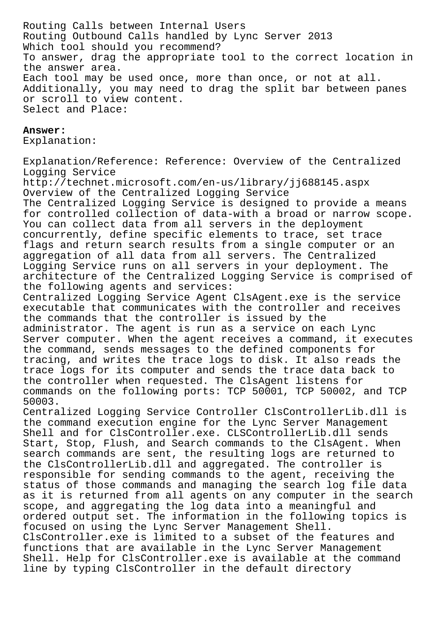Routing Calls between Internal Users Routing Outbound Calls handled by Lync Server 2013 Which tool should you recommend? To answer, drag the appropriate tool to the correct location in the answer area. Each tool may be used once, more than once, or not at all. Additionally, you may need to drag the split bar between panes or scroll to view content. Select and Place:

## **Answer:**

Explanation:

Explanation/Reference: Reference: Overview of the Centralized Logging Service http://technet.microsoft.com/en-us/library/jj688145.aspx Overview of the Centralized Logging Service The Centralized Logging Service is designed to provide a means for controlled collection of data-with a broad or narrow scope. You can collect data from all servers in the deployment concurrently, define specific elements to trace, set trace flags and return search results from a single computer or an aggregation of all data from all servers. The Centralized Logging Service runs on all servers in your deployment. The architecture of the Centralized Logging Service is comprised of the following agents and services: Centralized Logging Service Agent ClsAgent.exe is the service executable that communicates with the controller and receives the commands that the controller is issued by the administrator. The agent is run as a service on each Lync Server computer. When the agent receives a command, it executes the command, sends messages to the defined components for tracing, and writes the trace logs to disk. It also reads the trace logs for its computer and sends the trace data back to the controller when requested. The ClsAgent listens for commands on the following ports: TCP 50001, TCP 50002, and TCP 50003. Centralized Logging Service Controller ClsControllerLib.dll is the command execution engine for the Lync Server Management Shell and for ClsController.exe. CLSControllerLib.dll sends Start, Stop, Flush, and Search commands to the ClsAgent. When search commands are sent, the resulting logs are returned to the ClsControllerLib.dll and aggregated. The controller is responsible for sending commands to the agent, receiving the status of those commands and managing the search log file data as it is returned from all agents on any computer in the search scope, and aggregating the log data into a meaningful and ordered output set. The information in the following topics is

focused on using the Lync Server Management Shell. ClsController.exe is limited to a subset of the features and functions that are available in the Lync Server Management Shell. Help for ClsController.exe is available at the command line by typing ClsController in the default directory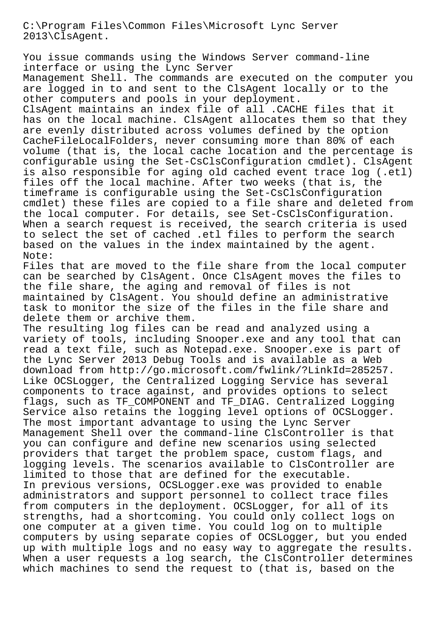C:\Program Files\Common Files\Microsoft Lync Server 2013\ClsAgent.

You issue commands using the Windows Server command-line interface or using the Lync Server

Management Shell. The commands are executed on the computer you are logged in to and sent to the ClsAgent locally or to the other computers and pools in your deployment.

ClsAgent maintains an index file of all .CACHE files that it has on the local machine. ClsAgent allocates them so that they are evenly distributed across volumes defined by the option CacheFileLocalFolders, never consuming more than 80% of each volume (that is, the local cache location and the percentage is configurable using the Set-CsClsConfiguration cmdlet). ClsAgent is also responsible for aging old cached event trace log (.etl) files off the local machine. After two weeks (that is, the timeframe is configurable using the Set-CsClsConfiguration cmdlet) these files are copied to a file share and deleted from the local computer. For details, see Set-CsClsConfiguration. When a search request is received, the search criteria is used to select the set of cached .etl files to perform the search based on the values in the index maintained by the agent. Note:

Files that are moved to the file share from the local computer can be searched by ClsAgent. Once ClsAgent moves the files to the file share, the aging and removal of files is not maintained by ClsAgent. You should define an administrative task to monitor the size of the files in the file share and delete them or archive them.

The resulting log files can be read and analyzed using a variety of tools, including Snooper.exe and any tool that can read a text file, such as Notepad.exe. Snooper.exe is part of the Lync Server 2013 Debug Tools and is available as a Web download from http://go.microsoft.com/fwlink/?LinkId=285257. Like OCSLogger, the Centralized Logging Service has several components to trace against, and provides options to select flags, such as TF COMPONENT and TF DIAG. Centralized Logging Service also retains the logging level options of OCSLogger. The most important advantage to using the Lync Server Management Shell over the command-line ClsController is that you can configure and define new scenarios using selected providers that target the problem space, custom flags, and logging levels. The scenarios available to ClsController are limited to those that are defined for the executable. In previous versions, OCSLogger.exe was provided to enable administrators and support personnel to collect trace files from computers in the deployment. OCSLogger, for all of its strengths, had a shortcoming. You could only collect logs on one computer at a given time. You could log on to multiple computers by using separate copies of OCSLogger, but you ended up with multiple logs and no easy way to aggregate the results. When a user requests a log search, the ClsController determines which machines to send the request to (that is, based on the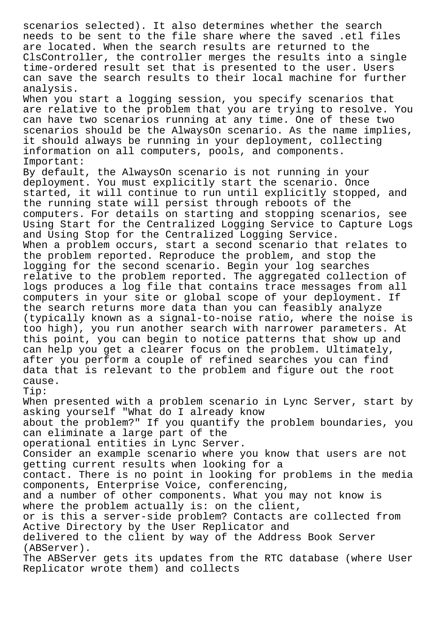scenarios selected). It also determines whether the search needs to be sent to the file share where the saved .etl files are located. When the search results are returned to the ClsController, the controller merges the results into a single time-ordered result set that is presented to the user. Users can save the search results to their local machine for further analysis. When you start a logging session, you specify scenarios that are relative to the problem that you are trying to resolve. You can have two scenarios running at any time. One of these two scenarios should be the AlwaysOn scenario. As the name implies, it should always be running in your deployment, collecting information on all computers, pools, and components. Important: By default, the AlwaysOn scenario is not running in your deployment. You must explicitly start the scenario. Once started, it will continue to run until explicitly stopped, and the running state will persist through reboots of the computers. For details on starting and stopping scenarios, see Using Start for the Centralized Logging Service to Capture Logs and Using Stop for the Centralized Logging Service. When a problem occurs, start a second scenario that relates to the problem reported. Reproduce the problem, and stop the logging for the second scenario. Begin your log searches relative to the problem reported. The aggregated collection of logs produces a log file that contains trace messages from all computers in your site or global scope of your deployment. If the search returns more data than you can feasibly analyze (typically known as a signal-to-noise ratio, where the noise is too high), you run another search with narrower parameters. At this point, you can begin to notice patterns that show up and can help you get a clearer focus on the problem. Ultimately, after you perform a couple of refined searches you can find data that is relevant to the problem and figure out the root cause. Tip: When presented with a problem scenario in Lync Server, start by asking yourself "What do I already know about the problem?" If you quantify the problem boundaries, you can eliminate a large part of the operational entities in Lync Server. Consider an example scenario where you know that users are not getting current results when looking for a contact. There is no point in looking for problems in the media components, Enterprise Voice, conferencing, and a number of other components. What you may not know is where the problem actually is: on the client, or is this a server-side problem? Contacts are collected from Active Directory by the User Replicator and delivered to the client by way of the Address Book Server (ABServer). The ABServer gets its updates from the RTC database (where User Replicator wrote them) and collects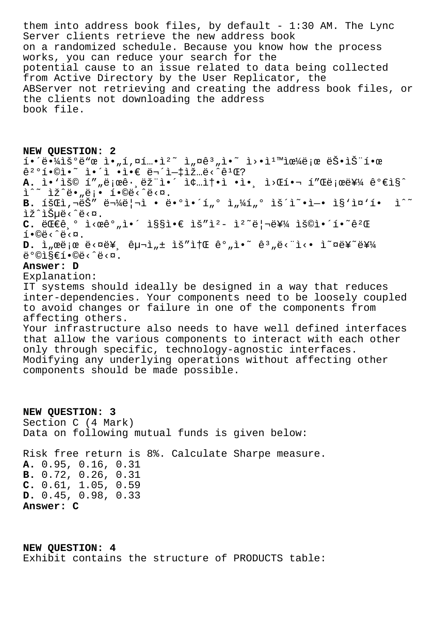them into address book files, by default -  $1:30$  AM. The Lync Server clients retrieve the new address book on a randomized schedule. Because you know how the process works, you can reduce your search for the potential cause to an issue related to data being collected from Active Directory by the User Replicator, the ABServer not retrieving and creating the address book files, or the clients not downloading the address book file.

**NEW QUESTION: 2**  $i \in \{4\}$   $i \in \{4\}$   $i \in \{2, \ldots, 1\}$ ,  $\alpha$ ,  $i \in \{2, \ldots, 2\}$  ,  $\alpha$ ,  $i \in \{1, \ldots, 2\}$  ,  $i \in \{1, \ldots, 2\}$  ,  $i \in \{1, \ldots, 2\}$  ,  $i \in \{1, \ldots, 2\}$  $\hat{e}^2$ <sup>o</sup>í•©ì•~ ì•´ì •ì•∈ 무ì-‡ìž…ë‹^ê<sup>1</sup>Œ? **A.** ì•'ìš© í""로그램ì•´ 종솕ì •ì•¸ ì>Œí•¬ í"Œë¡œë¥¼ ê°€ì§^  $\tilde{L}^{\wedge \sim}$  lž $\tilde{e}$ .  $\tilde{e}$ ,  $\tilde{e}$ ; · 1.  $\tilde{e}$  /  $\tilde{e}$  /  $\tilde{e}$  /  $\tilde{e}$  /  $\tilde{e}$ B. 회ì,¬ëŠ" 물ë|¬ì • ë•°ì•´í"° ì"¼í"° ìš´ì~•ì-• ì§'ì¤'í• i^~ lž^ìŠuë<^ë<¤. C. 대ê º ì<œêº"ì•´ ì§§ì•€ ìš"ì<sup>2</sup>- ì<sup>2</sup><sup>~</sup>리를 용앴í•~ê<sup>2</sup>Œ  $i \cdot \mathbb{O}e^{\lambda^2}$ .  $D.$   $\tilde{L}$   $\alpha$   $\tilde{E}$   $\alpha$   $\tilde{E}$   $\alpha$   $\tilde{E}$   $\tilde{E}$   $\alpha$   $\alpha$   $\tilde{E}$   $\alpha$   $\tilde{E}$   $\alpha$   $\tilde{E}$   $\alpha$   $\tilde{E}$   $\alpha$   $\tilde{E}$   $\alpha$   $\tilde{E}$   $\alpha$   $\tilde{E}$   $\alpha$   $\tilde{E}$   $\alpha$   $\tilde{E}$   $\alpha$   $\tilde{E}$   $\alpha$   $\tilde{E$  $\ddot{\theta}^{\circ}$ olseí. $\ddot{\theta}$ **Answer: D** Explanation: IT systems should ideally be designed in a way that reduces inter-dependencies. Your components need to be loosely coupled to avoid changes or failure in one of the components from affecting others. Your infrastructure also needs to have well defined interfaces that allow the various components to interact with each other only through specific, technology-agnostic interfaces. Modifying any underlying operations without affecting other components should be made possible.

**NEW QUESTION: 3** Section C (4 Mark) Data on following mutual funds is given below: Risk free return is 8%. Calculate Sharpe measure. **A.** 0.95, 0.16, 0.31 **B.** 0.72, 0.26, 0.31 **C.** 0.61, 1.05, 0.59 **D.** 0.45, 0.98, 0.33 **Answer: C**

**NEW QUESTION: 4** Exhibit contains the structure of PRODUCTS table: